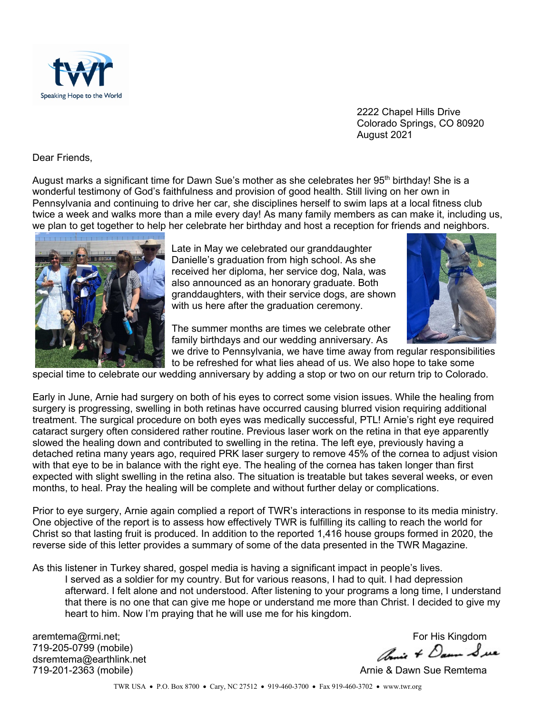

2222 Chapel Hills Drive Colorado Springs, CO 80920 August 2021

Dear Friends,

August marks a significant time for Dawn Sue's mother as she celebrates her 95<sup>th</sup> birthday! She is a wonderful testimony of God's faithfulness and provision of good health. Still living on her own in Pennsylvania and continuing to drive her car, she disciplines herself to swim laps at a local fitness club twice a week and walks more than a mile every day! As many family members as can make it, including us, we plan to get together to help her celebrate her birthday and host a reception for friends and neighbors.



Late in May we celebrated our granddaughter Danielle's graduation from high school. As she received her diploma, her service dog, Nala, was also announced as an honorary graduate. Both granddaughters, with their service dogs, are shown with us here after the graduation ceremony.



The summer months are times we celebrate other family birthdays and our wedding anniversary. As we drive to Pennsylvania, we have time away from regular responsibilities

to be refreshed for what lies ahead of us. We also hope to take some

special time to celebrate our wedding anniversary by adding a stop or two on our return trip to Colorado.

Early in June, Arnie had surgery on both of his eyes to correct some vision issues. While the healing from surgery is progressing, swelling in both retinas have occurred causing blurred vision requiring additional treatment. The surgical procedure on both eyes was medically successful, PTL! Arnie's right eye required cataract surgery often considered rather routine. Previous laser work on the retina in that eye apparently slowed the healing down and contributed to swelling in the retina. The left eye, previously having a detached retina many years ago, required PRK laser surgery to remove 45% of the cornea to adjust vision with that eye to be in balance with the right eye. The healing of the cornea has taken longer than first expected with slight swelling in the retina also. The situation is treatable but takes several weeks, or even months, to heal. Pray the healing will be complete and without further delay or complications.

Prior to eye surgery, Arnie again complied a report of TWR's interactions in response to its media ministry. One objective of the report is to assess how effectively TWR is fulfilling its calling to reach the world for Christ so that lasting fruit is produced. In addition to the reported 1,416 house groups formed in 2020, the reverse side of this letter provides a summary of some of the data presented in the TWR Magazine.

As this listener in Turkey shared, gospel media is having a significant impact in people's lives.

I served as a soldier for my country. But for various reasons, I had to quit. I had depression afterward. I felt alone and not understood. After listening to your programs a long time, I understand that there is no one that can give me hope or understand me more than Christ. I decided to give my heart to him. Now I'm praying that he will use me for his kingdom.

719-205-0799 (mobile) dsremtema@earthlink.net<br>719-201-2363 (mobile)

aremtema@rmi.net;<br>719-205-0799 (mobile) For His Kingdom<br>december 2005 think not

Arnie & Dawn Sue Remtema